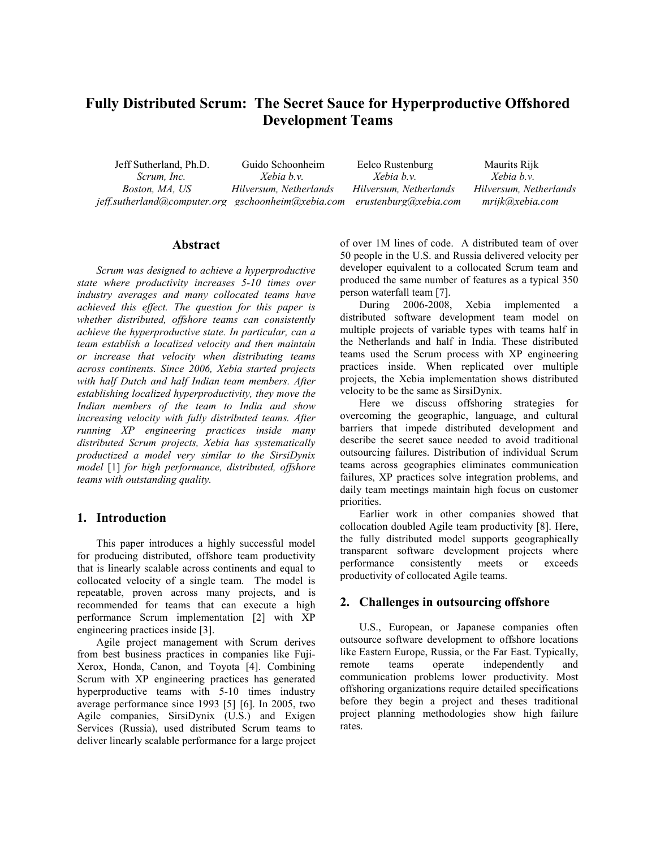# **Fully Distributed Scrum: The Secret Sauce for Hyperproductive Offshored Development Teams**

 Jeff Sutherland, Ph.D. Guido Schoonheim Eelco Rustenburg Maurits Rijk  *Scrum, Inc. Xebia b.v. Xebia b.v. Xebia b.v. Boston, MA, US Hilversum, Netherlands Hilversum, Netherlands Hilversum, Netherlands jeff.sutherland@computer.org gschoonheim@xebia.com erustenburg@xebia.com mrijk@xebia.com*

#### **Abstract**

*Scrum was designed to achieve a hyperproductive state where productivity increases 5-10 times over industry averages and many collocated teams have achieved this effect. The question for this paper is whether distributed, offshore teams can consistently achieve the hyperproductive state. In particular, can a team establish a localized velocity and then maintain or increase that velocity when distributing teams across continents. Since 2006, Xebia started projects with half Dutch and half Indian team members. After establishing localized hyperproductivity, they move the Indian members of the team to India and show increasing velocity with fully distributed teams. After running XP engineering practices inside many distributed Scrum projects, Xebia has systematically productized a model very similar to the SirsiDynix model* [1] *for high performance, distributed, offshore teams with outstanding quality.* 

# **1. Introduction**

This paper introduces a highly successful model for producing distributed, offshore team productivity that is linearly scalable across continents and equal to collocated velocity of a single team. The model is repeatable, proven across many projects, and is recommended for teams that can execute a high performance Scrum implementation [2] with XP engineering practices inside [3].

Agile project management with Scrum derives from best business practices in companies like Fuji-Xerox, Honda, Canon, and Toyota [4]. Combining Scrum with XP engineering practices has generated hyperproductive teams with 5-10 times industry average performance since 1993 [5] [6]. In 2005, two Agile companies, SirsiDynix (U.S.) and Exigen Services (Russia), used distributed Scrum teams to deliver linearly scalable performance for a large project of over 1M lines of code. A distributed team of over 50 people in the U.S. and Russia delivered velocity per developer equivalent to a collocated Scrum team and produced the same number of features as a typical 350 person waterfall team [7].

During 2006-2008, Xebia implemented a distributed software development team model on multiple projects of variable types with teams half in the Netherlands and half in India. These distributed teams used the Scrum process with XP engineering practices inside. When replicated over multiple projects, the Xebia implementation shows distributed velocity to be the same as SirsiDynix.

Here we discuss offshoring strategies for overcoming the geographic, language, and cultural barriers that impede distributed development and describe the secret sauce needed to avoid traditional outsourcing failures. Distribution of individual Scrum teams across geographies eliminates communication failures, XP practices solve integration problems, and daily team meetings maintain high focus on customer priorities.

Earlier work in other companies showed that collocation doubled Agile team productivity [8]. Here, the fully distributed model supports geographically transparent software development projects where performance consistently meets or exceeds productivity of collocated Agile teams.

#### **2. Challenges in outsourcing offshore**

U.S., European, or Japanese companies often outsource software development to offshore locations like Eastern Europe, Russia, or the Far East. Typically, remote teams operate independently and communication problems lower productivity. Most offshoring organizations require detailed specifications before they begin a project and theses traditional project planning methodologies show high failure rates.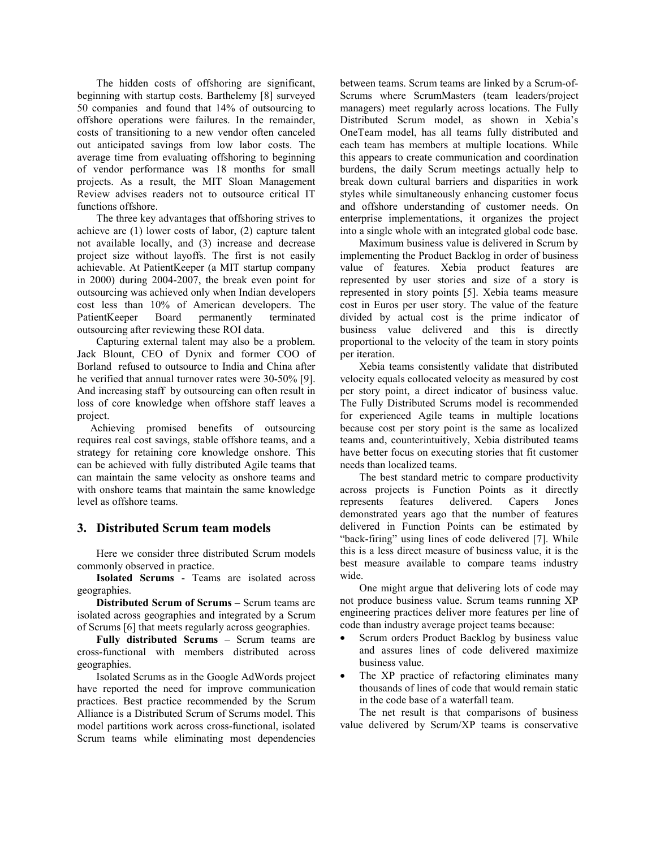The hidden costs of offshoring are significant, beginning with startup costs. Barthelemy [8] surveyed 50 companies and found that 14% of outsourcing to offshore operations were failures. In the remainder, costs of transitioning to a new vendor often canceled out anticipated savings from low labor costs. The average time from evaluating offshoring to beginning of vendor performance was 18 months for small projects. As a result, the MIT Sloan Management Review advises readers not to outsource critical IT functions offshore.

The three key advantages that offshoring strives to achieve are (1) lower costs of labor, (2) capture talent not available locally, and (3) increase and decrease project size without layoffs. The first is not easily achievable. At PatientKeeper (a MIT startup company in 2000) during 2004-2007, the break even point for outsourcing was achieved only when Indian developers cost less than 10% of American developers. The PatientKeeper Board permanently terminated outsourcing after reviewing these ROI data.

Capturing external talent may also be a problem. Jack Blount, CEO of Dynix and former COO of Borland refused to outsource to India and China after he verified that annual turnover rates were 30-50% [9]. And increasing staff by outsourcing can often result in loss of core knowledge when offshore staff leaves a project.

Achieving promised benefits of outsourcing requires real cost savings, stable offshore teams, and a strategy for retaining core knowledge onshore. This can be achieved with fully distributed Agile teams that can maintain the same velocity as onshore teams and with onshore teams that maintain the same knowledge level as offshore teams.

## **3. Distributed Scrum team models**

Here we consider three distributed Scrum models commonly observed in practice.

**Isolated Scrums** - Teams are isolated across geographies.

**Distributed Scrum of Scrums** – Scrum teams are isolated across geographies and integrated by a Scrum of Scrums [6] that meets regularly across geographies.

**Fully distributed Scrums** – Scrum teams are cross-functional with members distributed across geographies.

Isolated Scrums as in the Google AdWords project have reported the need for improve communication practices. Best practice recommended by the Scrum Alliance is a Distributed Scrum of Scrums model. This model partitions work across cross-functional, isolated Scrum teams while eliminating most dependencies between teams. Scrum teams are linked by a Scrum-of-Scrums where ScrumMasters (team leaders/project managers) meet regularly across locations. The Fully Distributed Scrum model, as shown in Xebia's OneTeam model, has all teams fully distributed and each team has members at multiple locations. While this appears to create communication and coordination burdens, the daily Scrum meetings actually help to break down cultural barriers and disparities in work styles while simultaneously enhancing customer focus and offshore understanding of customer needs. On enterprise implementations, it organizes the project into a single whole with an integrated global code base.

Maximum business value is delivered in Scrum by implementing the Product Backlog in order of business value of features. Xebia product features are represented by user stories and size of a story is represented in story points [5]. Xebia teams measure cost in Euros per user story. The value of the feature divided by actual cost is the prime indicator of business value delivered and this is directly proportional to the velocity of the team in story points per iteration.

Xebia teams consistently validate that distributed velocity equals collocated velocity as measured by cost per story point, a direct indicator of business value. The Fully Distributed Scrums model is recommended for experienced Agile teams in multiple locations because cost per story point is the same as localized teams and, counterintuitively, Xebia distributed teams have better focus on executing stories that fit customer needs than localized teams.

The best standard metric to compare productivity across projects is Function Points as it directly represents features delivered. Capers Jones demonstrated years ago that the number of features delivered in Function Points can be estimated by "back-firing" using lines of code delivered [7]. While this is a less direct measure of business value, it is the best measure available to compare teams industry wide.

One might argue that delivering lots of code may not produce business value. Scrum teams running XP engineering practices deliver more features per line of code than industry average project teams because:

- Scrum orders Product Backlog by business value and assures lines of code delivered maximize business value.
- The XP practice of refactoring eliminates many thousands of lines of code that would remain static in the code base of a waterfall team.

The net result is that comparisons of business value delivered by Scrum/XP teams is conservative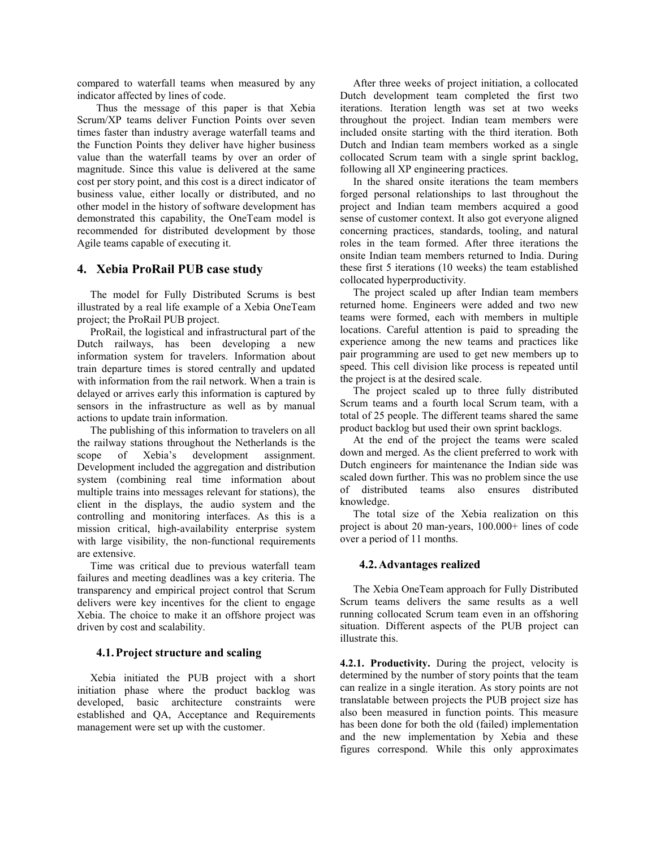compared to waterfall teams when measured by any indicator affected by lines of code.

Thus the message of this paper is that Xebia Scrum/XP teams deliver Function Points over seven times faster than industry average waterfall teams and the Function Points they deliver have higher business value than the waterfall teams by over an order of magnitude. Since this value is delivered at the same cost per story point, and this cost is a direct indicator of business value, either locally or distributed, and no other model in the history of software development has demonstrated this capability, the OneTeam model is recommended for distributed development by those Agile teams capable of executing it.

# **4. Xebia ProRail PUB case study**

The model for Fully Distributed Scrums is best illustrated by a real life example of a Xebia OneTeam project; the ProRail PUB project.

ProRail, the logistical and infrastructural part of the Dutch railways, has been developing a new information system for travelers. Information about train departure times is stored centrally and updated with information from the rail network. When a train is delayed or arrives early this information is captured by sensors in the infrastructure as well as by manual actions to update train information.

The publishing of this information to travelers on all the railway stations throughout the Netherlands is the scope of Xebia's development assignment. Development included the aggregation and distribution system (combining real time information about multiple trains into messages relevant for stations), the client in the displays, the audio system and the controlling and monitoring interfaces. As this is a mission critical, high-availability enterprise system with large visibility, the non-functional requirements are extensive.

Time was critical due to previous waterfall team failures and meeting deadlines was a key criteria. The transparency and empirical project control that Scrum delivers were key incentives for the client to engage Xebia. The choice to make it an offshore project was driven by cost and scalability.

#### **4.1.Project structure and scaling**

Xebia initiated the PUB project with a short initiation phase where the product backlog was developed, basic architecture constraints were established and QA, Acceptance and Requirements management were set up with the customer.

After three weeks of project initiation, a collocated Dutch development team completed the first two iterations. Iteration length was set at two weeks throughout the project. Indian team members were included onsite starting with the third iteration. Both Dutch and Indian team members worked as a single collocated Scrum team with a single sprint backlog, following all XP engineering practices.

In the shared onsite iterations the team members forged personal relationships to last throughout the project and Indian team members acquired a good sense of customer context. It also got everyone aligned concerning practices, standards, tooling, and natural roles in the team formed. After three iterations the onsite Indian team members returned to India. During these first 5 iterations (10 weeks) the team established collocated hyperproductivity.

The project scaled up after Indian team members returned home. Engineers were added and two new teams were formed, each with members in multiple locations. Careful attention is paid to spreading the experience among the new teams and practices like pair programming are used to get new members up to speed. This cell division like process is repeated until the project is at the desired scale.

The project scaled up to three fully distributed Scrum teams and a fourth local Scrum team, with a total of 25 people. The different teams shared the same product backlog but used their own sprint backlogs.

At the end of the project the teams were scaled down and merged. As the client preferred to work with Dutch engineers for maintenance the Indian side was scaled down further. This was no problem since the use of distributed teams also ensures distributed knowledge.

The total size of the Xebia realization on this project is about 20 man-years, 100.000+ lines of code over a period of 11 months.

#### **4.2.Advantages realized**

The Xebia OneTeam approach for Fully Distributed Scrum teams delivers the same results as a well running collocated Scrum team even in an offshoring situation. Different aspects of the PUB project can illustrate this.

**4.2.1. Productivity.** During the project, velocity is determined by the number of story points that the team can realize in a single iteration. As story points are not translatable between projects the PUB project size has also been measured in function points. This measure has been done for both the old (failed) implementation and the new implementation by Xebia and these figures correspond. While this only approximates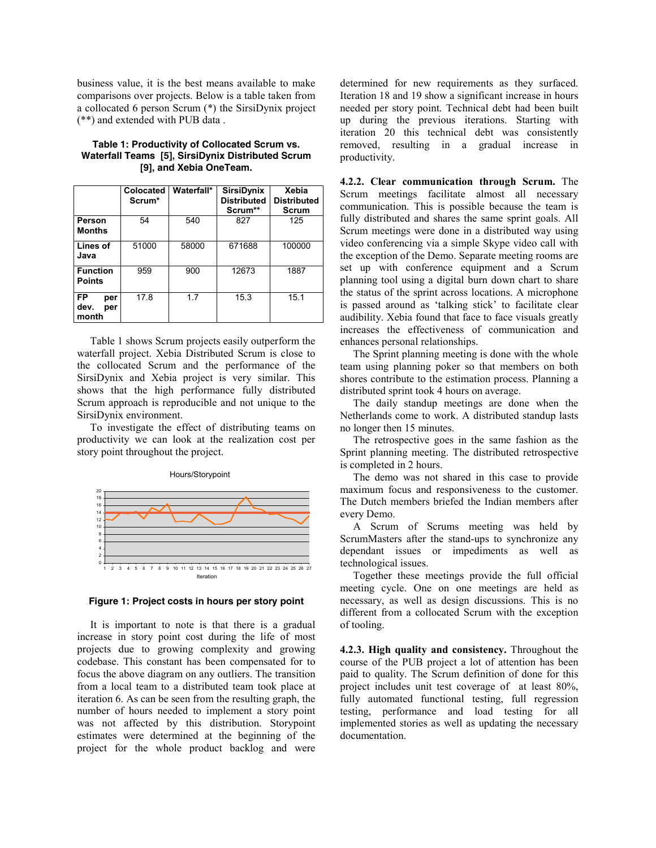business value, it is the best means available to make comparisons over projects. Below is a table taken from a collocated 6 person Scrum (\*) the SirsiDynix project (\*\*) and extended with PUB data .

| Table 1: Productivity of Collocated Scrum vs.            |  |  |  |  |  |
|----------------------------------------------------------|--|--|--|--|--|
| <b>Waterfall Teams [5], SirsiDynix Distributed Scrum</b> |  |  |  |  |  |
| [9], and Xebia OneTeam.                                  |  |  |  |  |  |

|                                   | Colocated<br>Scrum* | Waterfall* | <b>SirsiDynix</b><br><b>Distributed</b><br>Scrum** | Xebia<br><b>Distributed</b><br><b>Scrum</b> |
|-----------------------------------|---------------------|------------|----------------------------------------------------|---------------------------------------------|
| Person<br><b>Months</b>           | 54                  | 540        | 827                                                | 125                                         |
| Lines of<br>Java                  | 51000               | 58000      | 671688                                             | 100000                                      |
| <b>Function</b><br><b>Points</b>  | 959                 | 900        | 12673                                              | 1887                                        |
| FP<br>per<br>dev.<br>per<br>month | 17.8                | 1.7        | 15.3                                               | 15.1                                        |

Table 1 shows Scrum projects easily outperform the waterfall project. Xebia Distributed Scrum is close to the collocated Scrum and the performance of the SirsiDynix and Xebia project is very similar. This shows that the high performance fully distributed Scrum approach is reproducible and not unique to the SirsiDynix environment.

To investigate the effect of distributing teams on productivity we can look at the realization cost per story point throughout the project.



#### **Figure 1: Project costs in hours per story point**

It is important to note is that there is a gradual increase in story point cost during the life of most projects due to growing complexity and growing codebase. This constant has been compensated for to focus the above diagram on any outliers. The transition from a local team to a distributed team took place at iteration 6. As can be seen from the resulting graph, the number of hours needed to implement a story point was not affected by this distribution. Storypoint estimates were determined at the beginning of the project for the whole product backlog and were determined for new requirements as they surfaced. Iteration 18 and 19 show a significant increase in hours needed per story point. Technical debt had been built up during the previous iterations. Starting with iteration 20 this technical debt was consistently removed, resulting in a gradual increase in productivity.

**4.2.2. Clear communication through Scrum.** The Scrum meetings facilitate almost all necessary communication. This is possible because the team is fully distributed and shares the same sprint goals. All Scrum meetings were done in a distributed way using video conferencing via a simple Skype video call with the exception of the Demo. Separate meeting rooms are set up with conference equipment and a Scrum planning tool using a digital burn down chart to share the status of the sprint across locations. A microphone is passed around as 'talking stick' to facilitate clear audibility. Xebia found that face to face visuals greatly increases the effectiveness of communication and enhances personal relationships.

The Sprint planning meeting is done with the whole team using planning poker so that members on both shores contribute to the estimation process. Planning a distributed sprint took 4 hours on average.

The daily standup meetings are done when the Netherlands come to work. A distributed standup lasts no longer then 15 minutes.

The retrospective goes in the same fashion as the Sprint planning meeting. The distributed retrospective is completed in 2 hours.

The demo was not shared in this case to provide maximum focus and responsiveness to the customer. The Dutch members briefed the Indian members after every Demo.

A Scrum of Scrums meeting was held by ScrumMasters after the stand-ups to synchronize any dependant issues or impediments as well as technological issues.

Together these meetings provide the full official meeting cycle. One on one meetings are held as necessary, as well as design discussions. This is no different from a collocated Scrum with the exception of tooling.

**4.2.3. High quality and consistency.** Throughout the course of the PUB project a lot of attention has been paid to quality. The Scrum definition of done for this project includes unit test coverage of at least 80%, fully automated functional testing, full regression testing, performance and load testing for all implemented stories as well as updating the necessary documentation.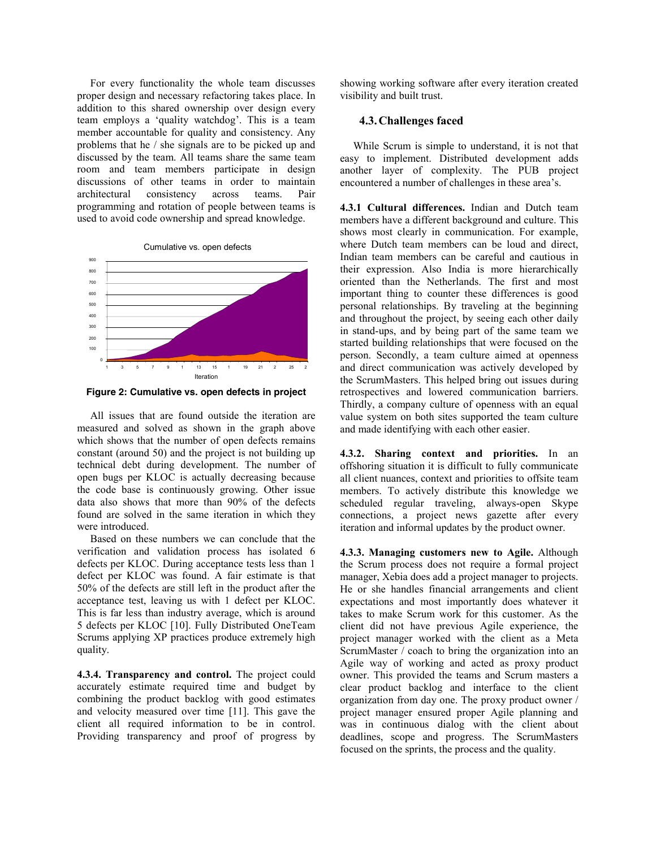For every functionality the whole team discusses proper design and necessary refactoring takes place. In addition to this shared ownership over design every team employs a 'quality watchdog'. This is a team member accountable for quality and consistency. Any problems that he / she signals are to be picked up and discussed by the team. All teams share the same team room and team members participate in design discussions of other teams in order to maintain architectural consistency across teams. Pair programming and rotation of people between teams is used to avoid code ownership and spread knowledge.



**Figure 2: Cumulative vs. open defects in project**

All issues that are found outside the iteration are measured and solved as shown in the graph above which shows that the number of open defects remains constant (around 50) and the project is not building up technical debt during development. The number of open bugs per KLOC is actually decreasing because the code base is continuously growing. Other issue data also shows that more than 90% of the defects found are solved in the same iteration in which they were introduced.

Based on these numbers we can conclude that the verification and validation process has isolated 6 defects per KLOC. During acceptance tests less than 1 defect per KLOC was found. A fair estimate is that 50% of the defects are still left in the product after the acceptance test, leaving us with 1 defect per KLOC. This is far less than industry average, which is around 5 defects per KLOC [10]. Fully Distributed OneTeam Scrums applying XP practices produce extremely high quality.

**4.3.4. Transparency and control.** The project could accurately estimate required time and budget by combining the product backlog with good estimates and velocity measured over time [11]. This gave the client all required information to be in control. Providing transparency and proof of progress by showing working software after every iteration created visibility and built trust.

#### **4.3.Challenges faced**

While Scrum is simple to understand, it is not that easy to implement. Distributed development adds another layer of complexity. The PUB project encountered a number of challenges in these area's.

**4.3.1 Cultural differences.** Indian and Dutch team members have a different background and culture. This shows most clearly in communication. For example, where Dutch team members can be loud and direct, Indian team members can be careful and cautious in their expression. Also India is more hierarchically oriented than the Netherlands. The first and most important thing to counter these differences is good personal relationships. By traveling at the beginning and throughout the project, by seeing each other daily in stand-ups, and by being part of the same team we started building relationships that were focused on the person. Secondly, a team culture aimed at openness and direct communication was actively developed by the ScrumMasters. This helped bring out issues during retrospectives and lowered communication barriers. Thirdly, a company culture of openness with an equal value system on both sites supported the team culture and made identifying with each other easier.

**4.3.2. Sharing context and priorities.** In an offshoring situation it is difficult to fully communicate all client nuances, context and priorities to offsite team members. To actively distribute this knowledge we scheduled regular traveling, always-open Skype connections, a project news gazette after every iteration and informal updates by the product owner.

**4.3.3. Managing customers new to Agile.** Although the Scrum process does not require a formal project manager, Xebia does add a project manager to projects. He or she handles financial arrangements and client expectations and most importantly does whatever it takes to make Scrum work for this customer. As the client did not have previous Agile experience, the project manager worked with the client as a Meta ScrumMaster / coach to bring the organization into an Agile way of working and acted as proxy product owner. This provided the teams and Scrum masters a clear product backlog and interface to the client organization from day one. The proxy product owner / project manager ensured proper Agile planning and was in continuous dialog with the client about deadlines, scope and progress. The ScrumMasters focused on the sprints, the process and the quality.